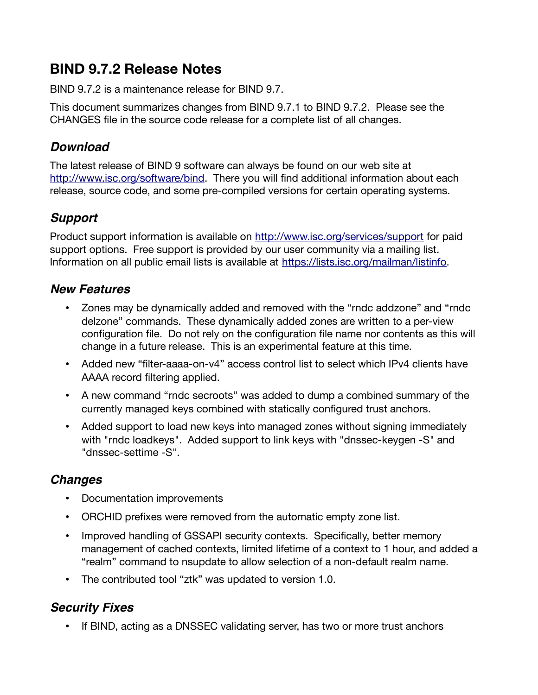# **BIND 9.7.2 Release Notes**

BIND 9.7.2 is a maintenance release for BIND 9.7.

This document summarizes changes from BIND 9.7.1 to BIND 9.7.2. Please see the CHANGES fle in the source code release for a complete list of all changes.

### **Download**

The latest release of BIND 9 software can always be found on our web site at [http://www.isc.org/software/bind.](http://www.isc.org/software/bind) There you will find additional information about each release, source code, and some pre-compiled versions for certain operating systems.

## **Support**

Product support information is available on<http://www.isc.org/services/support>for paid support options. Free support is provided by our user community via a mailing list. Information on all public email lists is available at [https://lists.isc.org/mailman/listinfo.](https://lists.isc.org/mailman/listinfo)

## **New Features**

- Zones may be dynamically added and removed with the "rndc addzone" and "rndc delzone" commands. These dynamically added zones are written to a per-view confguration fle. Do not rely on the confguration fle name nor contents as this will change in a future release. This is an experimental feature at this time.
- Added new "filter-aaaa-on-v4" access control list to select which IPv4 clients have AAAA record filtering applied.
- A new command "rndc secroots" was added to dump a combined summary of the currently managed keys combined with statically confgured trust anchors.
- Added support to load new keys into managed zones without signing immediately with "rndc loadkeys". Added support to link keys with "dnssec-keygen -S" and "dnssec-settime -S".

## **Changes**

- Documentation improvements
- ORCHID prefixes were removed from the automatic empty zone list.
- Improved handling of GSSAPI security contexts. Specifically, better memory management of cached contexts, limited lifetime of a context to 1 hour, and added a "realm" command to nsupdate to allow selection of a non-default realm name.
- The contributed tool "ztk" was updated to version 1.0.

## **Security Fixes**

• If BIND, acting as a DNSSEC validating server, has two or more trust anchors